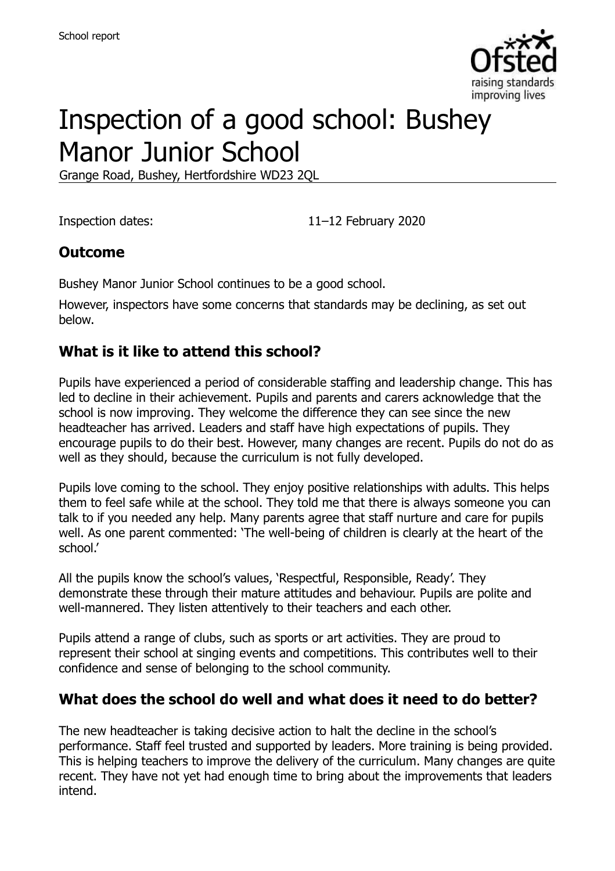

# Inspection of a good school: Bushey Manor Junior School

Grange Road, Bushey, Hertfordshire WD23 2QL

Inspection dates: 11–12 February 2020

#### **Outcome**

Bushey Manor Junior School continues to be a good school.

However, inspectors have some concerns that standards may be declining, as set out below.

#### **What is it like to attend this school?**

Pupils have experienced a period of considerable staffing and leadership change. This has led to decline in their achievement. Pupils and parents and carers acknowledge that the school is now improving. They welcome the difference they can see since the new headteacher has arrived. Leaders and staff have high expectations of pupils. They encourage pupils to do their best. However, many changes are recent. Pupils do not do as well as they should, because the curriculum is not fully developed.

Pupils love coming to the school. They enjoy positive relationships with adults. This helps them to feel safe while at the school. They told me that there is always someone you can talk to if you needed any help. Many parents agree that staff nurture and care for pupils well. As one parent commented: 'The well-being of children is clearly at the heart of the school.'

All the pupils know the school's values, 'Respectful, Responsible, Ready'. They demonstrate these through their mature attitudes and behaviour. Pupils are polite and well-mannered. They listen attentively to their teachers and each other.

Pupils attend a range of clubs, such as sports or art activities. They are proud to represent their school at singing events and competitions. This contributes well to their confidence and sense of belonging to the school community.

#### **What does the school do well and what does it need to do better?**

The new headteacher is taking decisive action to halt the decline in the school's performance. Staff feel trusted and supported by leaders. More training is being provided. This is helping teachers to improve the delivery of the curriculum. Many changes are quite recent. They have not yet had enough time to bring about the improvements that leaders intend.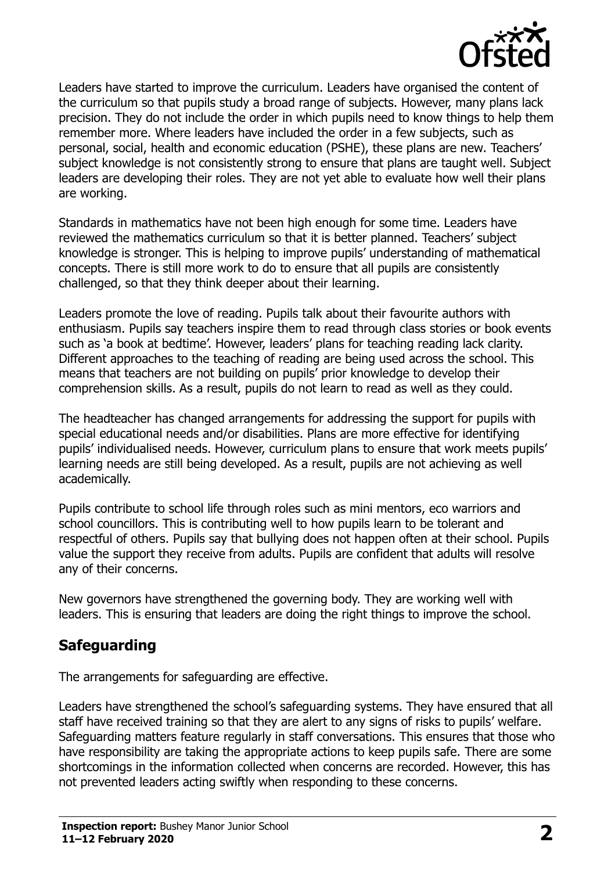

Leaders have started to improve the curriculum. Leaders have organised the content of the curriculum so that pupils study a broad range of subjects. However, many plans lack precision. They do not include the order in which pupils need to know things to help them remember more. Where leaders have included the order in a few subjects, such as personal, social, health and economic education (PSHE), these plans are new. Teachers' subject knowledge is not consistently strong to ensure that plans are taught well. Subject leaders are developing their roles. They are not yet able to evaluate how well their plans are working.

Standards in mathematics have not been high enough for some time. Leaders have reviewed the mathematics curriculum so that it is better planned. Teachers' subject knowledge is stronger. This is helping to improve pupils' understanding of mathematical concepts. There is still more work to do to ensure that all pupils are consistently challenged, so that they think deeper about their learning.

Leaders promote the love of reading. Pupils talk about their favourite authors with enthusiasm. Pupils say teachers inspire them to read through class stories or book events such as 'a book at bedtime'. However, leaders' plans for teaching reading lack clarity. Different approaches to the teaching of reading are being used across the school. This means that teachers are not building on pupils' prior knowledge to develop their comprehension skills. As a result, pupils do not learn to read as well as they could.

The headteacher has changed arrangements for addressing the support for pupils with special educational needs and/or disabilities. Plans are more effective for identifying pupils' individualised needs. However, curriculum plans to ensure that work meets pupils' learning needs are still being developed. As a result, pupils are not achieving as well academically.

Pupils contribute to school life through roles such as mini mentors, eco warriors and school councillors. This is contributing well to how pupils learn to be tolerant and respectful of others. Pupils say that bullying does not happen often at their school. Pupils value the support they receive from adults. Pupils are confident that adults will resolve any of their concerns.

New governors have strengthened the governing body. They are working well with leaders. This is ensuring that leaders are doing the right things to improve the school.

# **Safeguarding**

The arrangements for safeguarding are effective.

Leaders have strengthened the school's safeguarding systems. They have ensured that all staff have received training so that they are alert to any signs of risks to pupils' welfare. Safeguarding matters feature regularly in staff conversations. This ensures that those who have responsibility are taking the appropriate actions to keep pupils safe. There are some shortcomings in the information collected when concerns are recorded. However, this has not prevented leaders acting swiftly when responding to these concerns.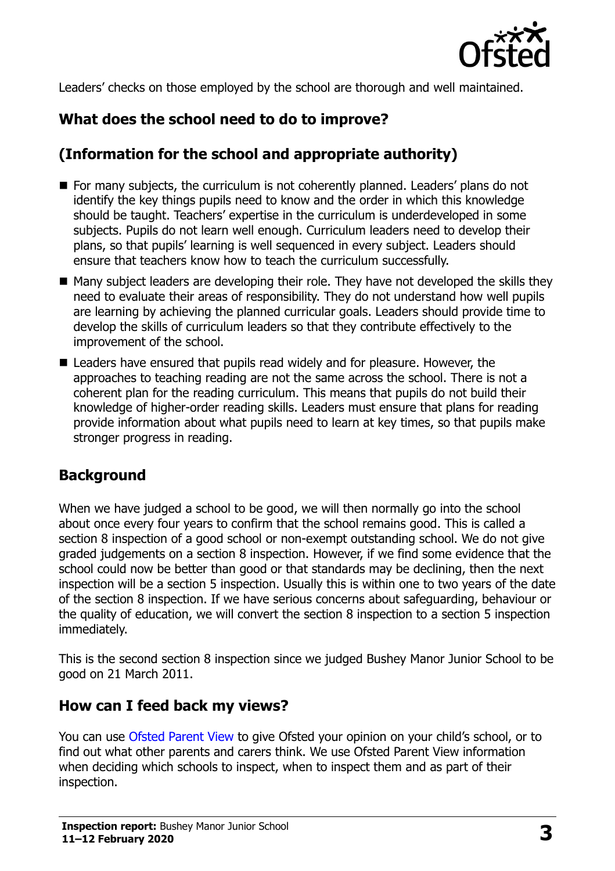

Leaders' checks on those employed by the school are thorough and well maintained.

# **What does the school need to do to improve?**

## **(Information for the school and appropriate authority)**

- For many subjects, the curriculum is not coherently planned. Leaders' plans do not identify the key things pupils need to know and the order in which this knowledge should be taught. Teachers' expertise in the curriculum is underdeveloped in some subjects. Pupils do not learn well enough. Curriculum leaders need to develop their plans, so that pupils' learning is well sequenced in every subject. Leaders should ensure that teachers know how to teach the curriculum successfully.
- Many subject leaders are developing their role. They have not developed the skills they need to evaluate their areas of responsibility. They do not understand how well pupils are learning by achieving the planned curricular goals. Leaders should provide time to develop the skills of curriculum leaders so that they contribute effectively to the improvement of the school.
- Leaders have ensured that pupils read widely and for pleasure. However, the approaches to teaching reading are not the same across the school. There is not a coherent plan for the reading curriculum. This means that pupils do not build their knowledge of higher-order reading skills. Leaders must ensure that plans for reading provide information about what pupils need to learn at key times, so that pupils make stronger progress in reading.

### **Background**

When we have judged a school to be good, we will then normally go into the school about once every four years to confirm that the school remains good. This is called a section 8 inspection of a good school or non-exempt outstanding school. We do not give graded judgements on a section 8 inspection. However, if we find some evidence that the school could now be better than good or that standards may be declining, then the next inspection will be a section 5 inspection. Usually this is within one to two years of the date of the section 8 inspection. If we have serious concerns about safeguarding, behaviour or the quality of education, we will convert the section 8 inspection to a section 5 inspection immediately.

This is the second section 8 inspection since we judged Bushey Manor Junior School to be good on 21 March 2011.

### **How can I feed back my views?**

You can use [Ofsted Parent View](https://parentview.ofsted.gov.uk/) to give Ofsted your opinion on your child's school, or to find out what other parents and carers think. We use Ofsted Parent View information when deciding which schools to inspect, when to inspect them and as part of their inspection.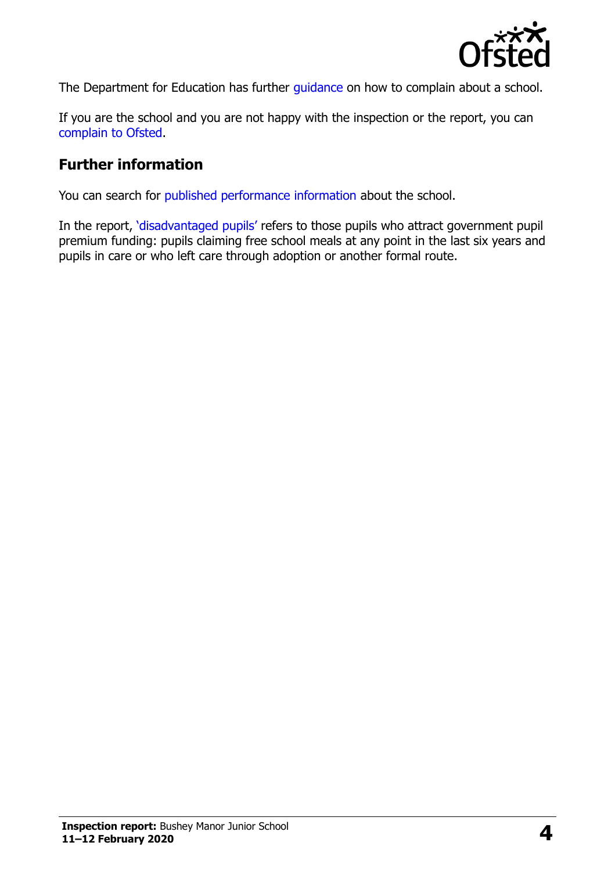

The Department for Education has further quidance on how to complain about a school.

If you are the school and you are not happy with the inspection or the report, you can [complain to Ofsted.](https://www.gov.uk/complain-ofsted-report)

#### **Further information**

You can search for [published performance information](http://www.compare-school-performance.service.gov.uk/) about the school.

In the report, '[disadvantaged pupils](http://www.gov.uk/guidance/pupil-premium-information-for-schools-and-alternative-provision-settings)' refers to those pupils who attract government pupil premium funding: pupils claiming free school meals at any point in the last six years and pupils in care or who left care through adoption or another formal route.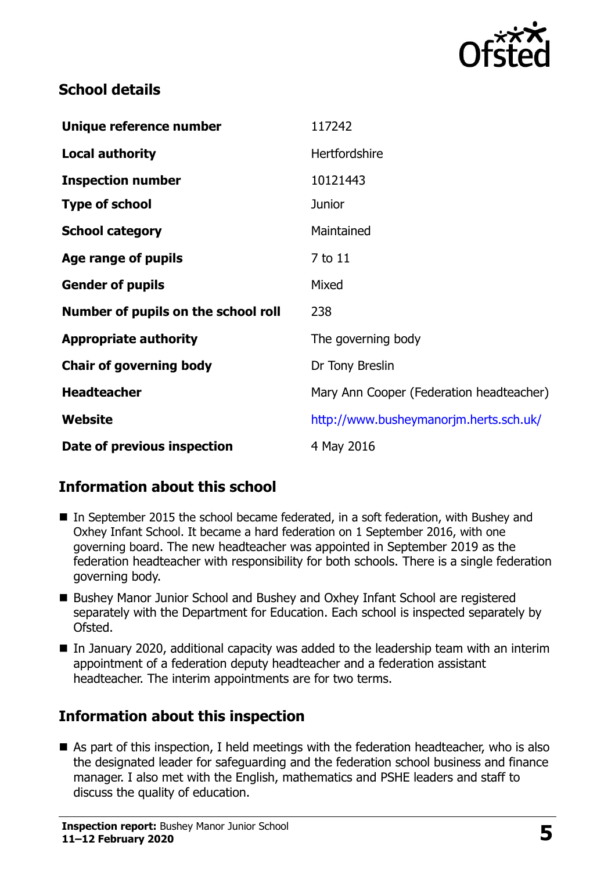

#### **School details**

| Unique reference number             | 117242                                   |
|-------------------------------------|------------------------------------------|
| <b>Local authority</b>              | Hertfordshire                            |
| <b>Inspection number</b>            | 10121443                                 |
| <b>Type of school</b>               | <b>Junior</b>                            |
| <b>School category</b>              | Maintained                               |
| Age range of pupils                 | 7 to 11                                  |
| <b>Gender of pupils</b>             | Mixed                                    |
| Number of pupils on the school roll | 238                                      |
| <b>Appropriate authority</b>        | The governing body                       |
| <b>Chair of governing body</b>      | Dr Tony Breslin                          |
| <b>Headteacher</b>                  | Mary Ann Cooper (Federation headteacher) |
| Website                             | http://www.busheymanorjm.herts.sch.uk/   |
| Date of previous inspection         | 4 May 2016                               |

### **Information about this school**

- In September 2015 the school became federated, in a soft federation, with Bushey and Oxhey Infant School. It became a hard federation on 1 September 2016, with one governing board. The new headteacher was appointed in September 2019 as the federation headteacher with responsibility for both schools. There is a single federation governing body.
- Bushey Manor Junior School and Bushey and Oxhey Infant School are registered separately with the Department for Education. Each school is inspected separately by Ofsted.
- In January 2020, additional capacity was added to the leadership team with an interim appointment of a federation deputy headteacher and a federation assistant headteacher. The interim appointments are for two terms.

### **Information about this inspection**

■ As part of this inspection, I held meetings with the federation headteacher, who is also the designated leader for safeguarding and the federation school business and finance manager. I also met with the English, mathematics and PSHE leaders and staff to discuss the quality of education.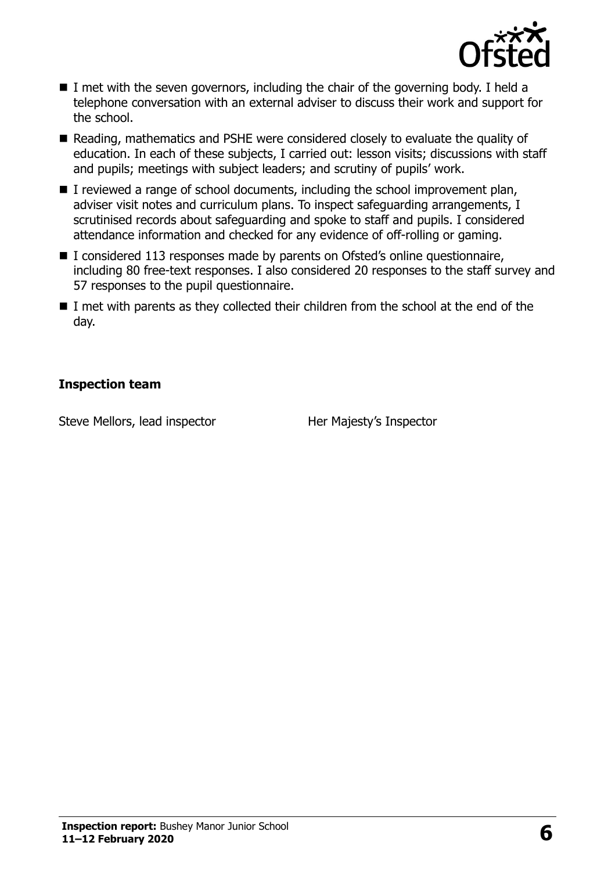

- I met with the seven governors, including the chair of the governing body. I held a telephone conversation with an external adviser to discuss their work and support for the school.
- Reading, mathematics and PSHE were considered closely to evaluate the quality of education. In each of these subjects, I carried out: lesson visits; discussions with staff and pupils; meetings with subject leaders; and scrutiny of pupils' work.
- I reviewed a range of school documents, including the school improvement plan, adviser visit notes and curriculum plans. To inspect safeguarding arrangements, I scrutinised records about safeguarding and spoke to staff and pupils. I considered attendance information and checked for any evidence of off-rolling or gaming.
- I considered 113 responses made by parents on Ofsted's online questionnaire, including 80 free-text responses. I also considered 20 responses to the staff survey and 57 responses to the pupil questionnaire.
- $\blacksquare$  I met with parents as they collected their children from the school at the end of the day.

#### **Inspection team**

Steve Mellors, lead inspector **Her Majesty's Inspector**